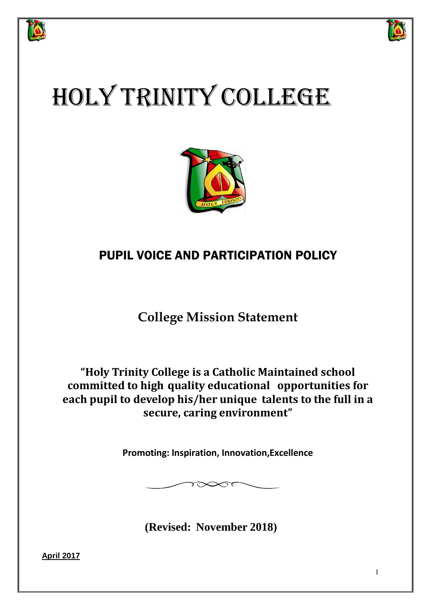



# HOLY TRINITY COLLEGE



# PUPIL VOICE AND PARTICIPATION POLICY

**College Mission Statement**

**"Holy Trinity College is a Catholic Maintained school committed to high quality educational opportunities for each pupil to develop his/her unique talents to the full in a secure, caring environment"**

**Promoting: Inspiration, Innovation,Excellence**

 $\infty$ st

**(Revised: November 2018)**

**April 2017**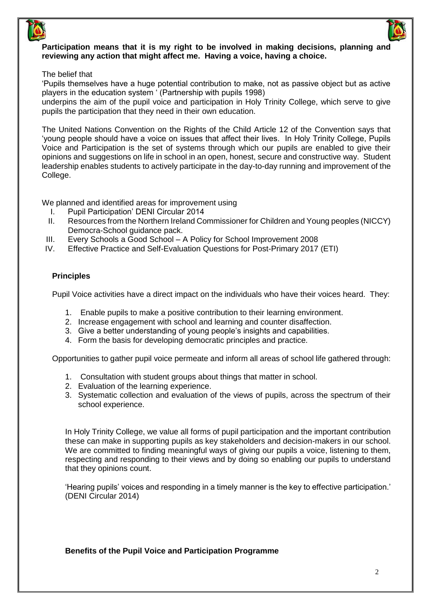# Participation means that it is my right to be involved in making decisions, planning and **reviewing any action that might affect me. Having a voice, having a choice.**

The belief that

'Pupils themselves have a huge potential contribution to make, not as passive object but as active players in the education system ' (Partnership with pupils 1998)

underpins the aim of the pupil voice and participation in Holy Trinity College, which serve to give pupils the participation that they need in their own education.

The United Nations Convention on the Rights of the Child Article 12 of the Convention says that 'young people should have a voice on issues that affect their lives. In Holy Trinity College, Pupils Voice and Participation is the set of systems through which our pupils are enabled to give their opinions and suggestions on life in school in an open, honest, secure and constructive way. Student leadership enables students to actively participate in the day-to-day running and improvement of the College.

We planned and identified areas for improvement using

- I. Pupil Participation' DENI Circular 2014
- II. Resources from the Northern Ireland Commissioner for Children and Young peoples (NICCY) Democra-School guidance pack.
- III. Every Schools a Good School A Policy for School Improvement 2008
- IV. Effective Practice and Self-Evaluation Questions for Post-Primary 2017 (ETI)

# **Principles**

Pupil Voice activities have a direct impact on the individuals who have their voices heard. They:

- 1. Enable pupils to make a positive contribution to their learning environment.
- 2. Increase engagement with school and learning and counter disaffection.
- 3. Give a better understanding of young people's insights and capabilities.
- 4. Form the basis for developing democratic principles and practice.

Opportunities to gather pupil voice permeate and inform all areas of school life gathered through:

- 1. Consultation with student groups about things that matter in school.
- 2. Evaluation of the learning experience.
- 3. Systematic collection and evaluation of the views of pupils, across the spectrum of their school experience.

In Holy Trinity College, we value all forms of pupil participation and the important contribution these can make in supporting pupils as key stakeholders and decision-makers in our school. We are committed to finding meaningful ways of giving our pupils a voice, listening to them, respecting and responding to their views and by doing so enabling our pupils to understand that they opinions count.

'Hearing pupils' voices and responding in a timely manner is the key to effective participation.' (DENI Circular 2014)

#### **Benefits of the Pupil Voice and Participation Programme**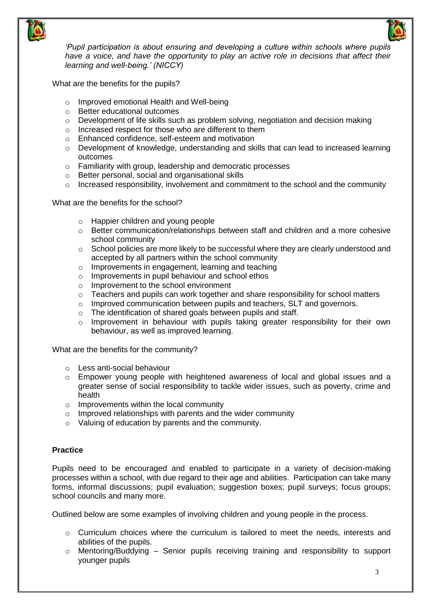

*'Pupil participation is about ensuring and developing a culture within schools where pupils have a voice, and have the opportunity to play an active role in decisions that affect their learning and well-being.' (NICCY)*

What are the benefits for the pupils?

- o Improved emotional Health and Well-being
- o Better educational outcomes
- $\circ$  Development of life skills such as problem solving, negotiation and decision making
- o Increased respect for those who are different to them
- o Enhanced confidence, self-esteem and motivation
- $\circ$  Development of knowledge, understanding and skills that can lead to increased learning outcomes
- o Familiarity with group, leadership and democratic processes
- o Better personal, social and organisational skills
- o Increased responsibility, involvement and commitment to the school and the community

What are the benefits for the school?

- o Happier children and young people
- $\circ$  Better communication/relationships between staff and children and a more cohesive school community
- o School policies are more likely to be successful where they are clearly understood and accepted by all partners within the school community
- o Improvements in engagement, learning and teaching
- o Improvements in pupil behaviour and school ethos
- o Improvement to the school environment
- $\circ$  Teachers and pupils can work together and share responsibility for school matters
- o Improved communication between pupils and teachers, SLT and governors.
- o The identification of shared goals between pupils and staff.
- o Improvement in behaviour with pupils taking greater responsibility for their own behaviour, as well as improved learning.

What are the benefits for the community?

- o Less anti-social behaviour
- $\circ$  Empower young people with heightened awareness of local and global issues and a greater sense of social responsibility to tackle wider issues, such as poverty, crime and health
- o Improvements within the local community
- $\circ$  Improved relationships with parents and the wider community
- o Valuing of education by parents and the community.

#### **Practice**

Pupils need to be encouraged and enabled to participate in a variety of decision-making processes within a school, with due regard to their age and abilities. Participation can take many forms, informal discussions; pupil evaluation; suggestion boxes; pupil surveys; focus groups; school councils and many more.

Outlined below are some examples of involving children and young people in the process.

- $\circ$  Curriculum choices where the curriculum is tailored to meet the needs, interests and abilities of the pupils.
- $\circ$  Mentoring/Buddying Senior pupils receiving training and responsibility to support younger pupils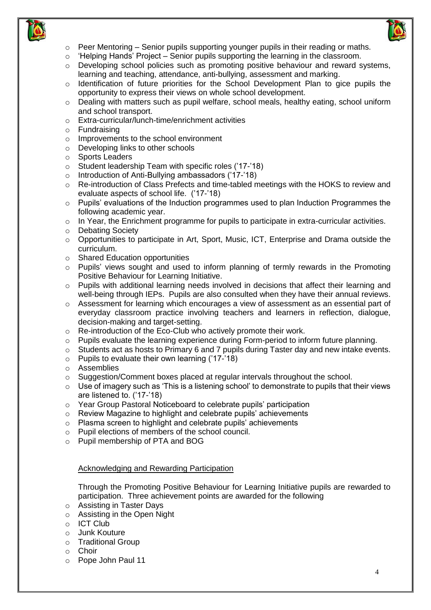



- $\circ$  Peer Mentoring Senior pupils supporting younger pupils in their reading or maths.
- o 'Helping Hands' Project Senior pupils supporting the learning in the classroom.
- $\circ$  Developing school policies such as promoting positive behaviour and reward systems, learning and teaching, attendance, anti-bullying, assessment and marking.
- $\circ$  Identification of future priorities for the School Development Plan to gice pupils the opportunity to express their views on whole school development.
- o Dealing with matters such as pupil welfare, school meals, healthy eating, school uniform and school transport.
- o Extra-curricular/lunch-time/enrichment activities
- o Fundraising
- o Improvements to the school environment
- o Developing links to other schools
- o Sports Leaders
- o Student leadership Team with specific roles ('17-'18)
- o Introduction of Anti-Bullying ambassadors ('17-'18)
- o Re-introduction of Class Prefects and time-tabled meetings with the HOKS to review and evaluate aspects of school life. ('17-'18)
- o Pupils' evaluations of the Induction programmes used to plan Induction Programmes the following academic year.
- o In Year, the Enrichment programme for pupils to participate in extra-curricular activities.
- o Debating Society
- $\circ$  Opportunities to participate in Art, Sport, Music, ICT, Enterprise and Drama outside the curriculum.
- o Shared Education opportunities
- o Pupils' views sought and used to inform planning of termly rewards in the Promoting Positive Behaviour for Learning Initiative.
- $\circ$  Pupils with additional learning needs involved in decisions that affect their learning and well-being through IEPs. Pupils are also consulted when they have their annual reviews.
- o Assessment for learning which encourages a view of assessment as an essential part of everyday classroom practice involving teachers and learners in reflection, dialogue, decision-making and target-setting.
- o Re-introduction of the Eco-Club who actively promote their work.
- $\circ$  Pupils evaluate the learning experience during Form-period to inform future planning.
- o Students act as hosts to Primary 6 and 7 pupils during Taster day and new intake events.
- $\circ$  Pupils to evaluate their own learning ('17-'18)
- o Assemblies
- o Suggestion/Comment boxes placed at regular intervals throughout the school.
- $\circ$  Use of imagery such as 'This is a listening school' to demonstrate to pupils that their views are listened to. ('17-'18)
- o Year Group Pastoral Noticeboard to celebrate pupils' participation
- o Review Magazine to highlight and celebrate pupils' achievements
- o Plasma screen to highlight and celebrate pupils' achievements
- o Pupil elections of members of the school council.
- o Pupil membership of PTA and BOG

#### Acknowledging and Rewarding Participation

Through the Promoting Positive Behaviour for Learning Initiative pupils are rewarded to participation. Three achievement points are awarded for the following

- o Assisting in Taster Days
- o Assisting in the Open Night

- o Junk Kouture
- o Traditional Group
- o Choir
- o Pope John Paul 11

o ICT Club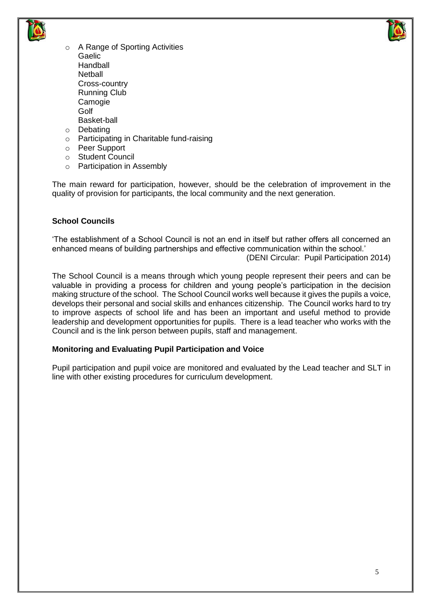



- o A Range of Sporting Activities Gaelic Handball **Netball** Cross-country Running Club Camogie Golf Basket-ball o Debating
- o Participating in Charitable fund-raising
- o Peer Support
- o Student Council
- o Participation in Assembly

The main reward for participation, however, should be the celebration of improvement in the quality of provision for participants, the local community and the next generation.

# **School Councils**

'The establishment of a School Council is not an end in itself but rather offers all concerned an enhanced means of building partnerships and effective communication within the school.'

(DENI Circular: Pupil Participation 2014)

The School Council is a means through which young people represent their peers and can be valuable in providing a process for children and young people's participation in the decision making structure of the school. The School Council works well because it gives the pupils a voice, develops their personal and social skills and enhances citizenship. The Council works hard to try to improve aspects of school life and has been an important and useful method to provide leadership and development opportunities for pupils. There is a lead teacher who works with the Council and is the link person between pupils, staff and management.

#### **Monitoring and Evaluating Pupil Participation and Voice**

Pupil participation and pupil voice are monitored and evaluated by the Lead teacher and SLT in line with other existing procedures for curriculum development.